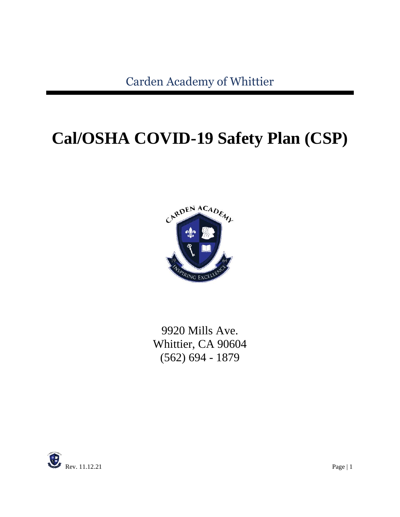# **Cal/OSHA COVID-19 Safety Plan (CSP)**



9920 Mills Ave. Whittier, CA 90604 (562) 694 - 1879

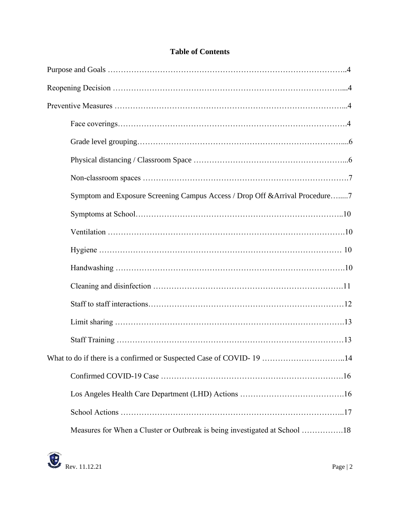|  | <b>Table of Contents</b> |
|--|--------------------------|
|  |                          |

| Symptom and Exposure Screening Campus Access / Drop Off & Arrival Procedure7 |
|------------------------------------------------------------------------------|
|                                                                              |
|                                                                              |
|                                                                              |
|                                                                              |
|                                                                              |
|                                                                              |
|                                                                              |
|                                                                              |
| What to do if there is a confirmed or Suspected Case of COVID-19 14          |
|                                                                              |
|                                                                              |
|                                                                              |
| Measures for When a Cluster or Outbreak is being investigated at School 18   |

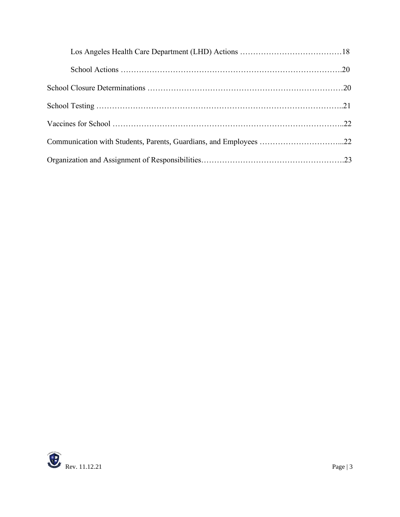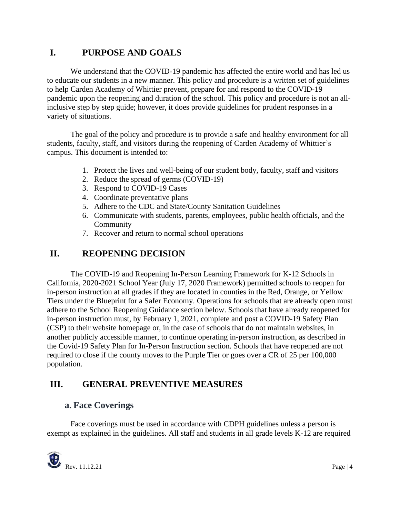## **I. PURPOSE AND GOALS**

We understand that the COVID-19 pandemic has affected the entire world and has led us to educate our students in a new manner. This policy and procedure is a written set of guidelines to help Carden Academy of Whittier prevent, prepare for and respond to the COVID-19 pandemic upon the reopening and duration of the school. This policy and procedure is not an allinclusive step by step guide; however, it does provide guidelines for prudent responses in a variety of situations.

The goal of the policy and procedure is to provide a safe and healthy environment for all students, faculty, staff, and visitors during the reopening of Carden Academy of Whittier's campus. This document is intended to:

- 1. Protect the lives and well-being of our student body, faculty, staff and visitors
- 2. Reduce the spread of germs (COVID-19)
- 3. Respond to COVID-19 Cases
- 4. Coordinate preventative plans
- 5. Adhere to the CDC and State/County Sanitation Guidelines
- 6. Communicate with students, parents, employees, public health officials, and the Community
- 7. Recover and return to normal school operations

## **II. REOPENING DECISION**

The COVID-19 and Reopening In-Person Learning Framework for K-12 Schools in California, 2020-2021 School Year (July 17, 2020 Framework) permitted schools to reopen for in-person instruction at all grades if they are located in counties in the Red, Orange, or Yellow Tiers under the Blueprint for a Safer Economy. Operations for schools that are already open must adhere to the School Reopening Guidance section below. Schools that have already reopened for in-person instruction must, by February 1, 2021, complete and post a COVID-19 Safety Plan (CSP) to their website homepage or, in the case of schools that do not maintain websites, in another publicly accessible manner, to continue operating in-person instruction, as described in the Covid-19 Safety Plan for In-Person Instruction section. Schools that have reopened are not required to close if the county moves to the Purple Tier or goes over a CR of 25 per 100,000 population.

## **III. GENERAL PREVENTIVE MEASURES**

## **a. Face Coverings**

Face coverings must be used in accordance with CDPH guidelines unless a person is exempt as explained in the guidelines. All staff and students in all grade levels K-12 are required

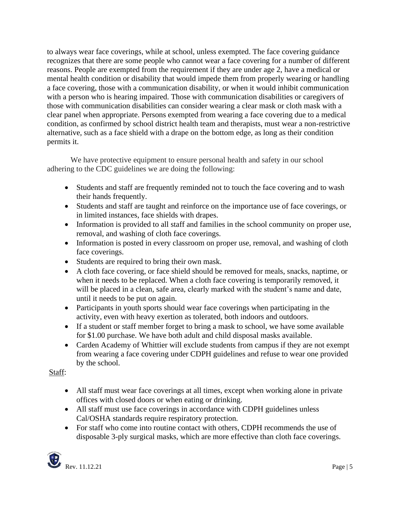to always wear face coverings, while at school, unless exempted. The face covering guidance recognizes that there are some people who cannot wear a face covering for a number of different reasons. People are exempted from the requirement if they are under age 2, have a medical or mental health condition or disability that would impede them from properly wearing or handling a face covering, those with a communication disability, or when it would inhibit communication with a person who is hearing impaired. Those with communication disabilities or caregivers of those with communication disabilities can consider wearing a clear mask or cloth mask with a clear panel when appropriate. Persons exempted from wearing a face covering due to a medical condition, as confirmed by school district health team and therapists, must wear a non-restrictive alternative, such as a face shield with a drape on the bottom edge, as long as their condition permits it.

We have protective equipment to ensure personal health and safety in our school adhering to the CDC guidelines we are doing the following:

- Students and staff are frequently reminded not to touch the face covering and to wash their hands frequently.
- Students and staff are taught and reinforce on the importance use of face coverings, or in limited instances, face shields with drapes.
- Information is provided to all staff and families in the school community on proper use, removal, and washing of cloth face coverings.
- Information is posted in every classroom on proper use, removal, and washing of cloth face coverings.
- Students are required to bring their own mask.
- A cloth face covering, or face shield should be removed for meals, snacks, naptime, or when it needs to be replaced. When a cloth face covering is temporarily removed, it will be placed in a clean, safe area, clearly marked with the student's name and date, until it needs to be put on again.
- Participants in youth sports should wear face coverings when participating in the activity, even with heavy exertion as tolerated, both indoors and outdoors.
- If a student or staff member forget to bring a mask to school, we have some available for \$1.00 purchase. We have both adult and child disposal masks available.
- Carden Academy of Whittier will exclude students from campus if they are not exempt from wearing a face covering under CDPH guidelines and refuse to wear one provided by the school.

Staff:

- All staff must wear face coverings at all times, except when working alone in private offices with closed doors or when eating or drinking.
- All staff must use face coverings in accordance with CDPH guidelines unless Cal/OSHA standards require respiratory protection.
- For staff who come into routine contact with others, CDPH recommends the use of disposable 3-ply surgical masks, which are more effective than cloth face coverings.

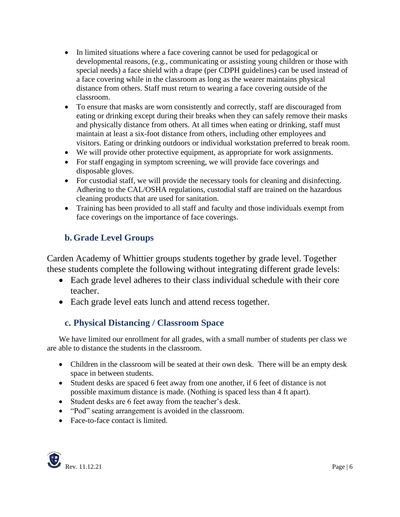- In limited situations where a face covering cannot be used for pedagogical or developmental reasons, (e.g., communicating or assisting young children or those with special needs) a face shield with a drape (per CDPH guidelines) can be used instead of a face covering while in the classroom as long as the wearer maintains physical distance from others. Staff must return to wearing a face covering outside of the classroom.
- To ensure that masks are worn consistently and correctly, staff are discouraged from eating or drinking except during their breaks when they can safely remove their masks and physically distance from others. At all times when eating or drinking, staff must maintain at least a six-foot distance from others, including other employees and visitors. Eating or drinking outdoors or individual workstation preferred to break room.
- We will provide other protective equipment, as appropriate for work assignments.
- For staff engaging in symptom screening, we will provide face coverings and disposable gloves.
- For custodial staff, we will provide the necessary tools for cleaning and disinfecting. Adhering to the CAL/OSHA regulations, custodial staff are trained on the hazardous cleaning products that are used for sanitation.
- Training has been provided to all staff and faculty and those individuals exempt from face coverings on the importance of face coverings.

# **b. Grade Level Groups**

Carden Academy of Whittier groups students together by grade level. Together these students complete the following without integrating different grade levels:

- Each grade level adheres to their class individual schedule with their core teacher.
- Each grade level eats lunch and attend recess together.

# **c. Physical Distancing / Classroom Space**

We have limited our enrollment for all grades, with a small number of students per class we are able to distance the students in the classroom.

- Children in the classroom will be seated at their own desk. There will be an empty desk space in between students.
- Student desks are spaced 6 feet away from one another, if 6 feet of distance is not possible maximum distance is made. (Nothing is spaced less than 4 ft apart).
- Student desks are 6 feet away from the teacher's desk.
- "Pod" seating arrangement is avoided in the classroom.
- Face-to-face contact is limited.

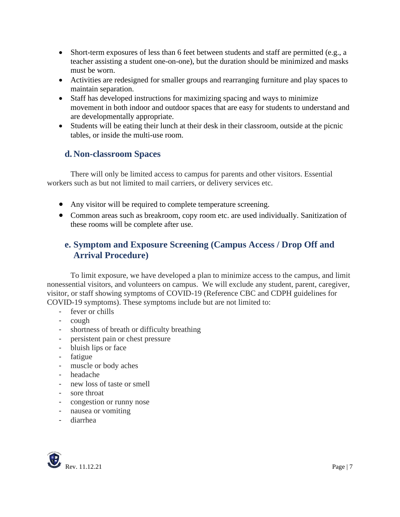- Short-term exposures of less than 6 feet between students and staff are permitted (e.g., a teacher assisting a student one-on-one), but the duration should be minimized and masks must be worn.
- Activities are redesigned for smaller groups and rearranging furniture and play spaces to maintain separation.
- Staff has developed instructions for maximizing spacing and ways to minimize movement in both indoor and outdoor spaces that are easy for students to understand and are developmentally appropriate.
- Students will be eating their lunch at their desk in their classroom, outside at the picnic tables, or inside the multi-use room.

## **d. Non-classroom Spaces**

There will only be limited access to campus for parents and other visitors. Essential workers such as but not limited to mail carriers, or delivery services etc.

- Any visitor will be required to complete temperature screening.
- Common areas such as breakroom, copy room etc. are used individually. Sanitization of these rooms will be complete after use.

## **e. Symptom and Exposure Screening (Campus Access / Drop Off and Arrival Procedure)**

To limit exposure, we have developed a plan to minimize access to the campus, and limit nonessential visitors, and volunteers on campus. We will exclude any student, parent, caregiver, visitor, or staff showing symptoms of COVID-19 (Reference CBC and CDPH guidelines for COVID-19 symptoms). These symptoms include but are not limited to:

- fever or chills
- cough
- shortness of breath or difficulty breathing
- persistent pain or chest pressure
- bluish lips or face
- fatigue
- muscle or body aches
- headache
- new loss of taste or smell
- sore throat
- congestion or runny nose
- nausea or vomiting
- diarrhea

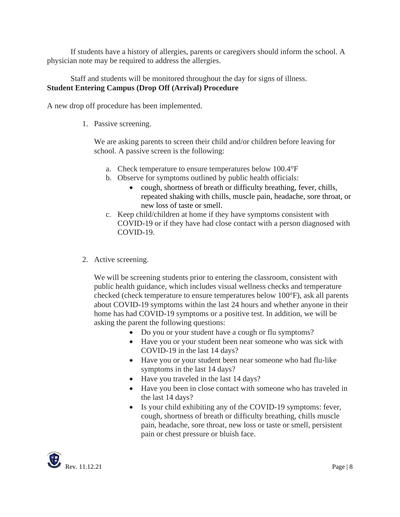If students have a history of allergies, parents or caregivers should inform the school. A physician note may be required to address the allergies.

#### Staff and students will be monitored throughout the day for signs of illness. **Student Entering Campus (Drop Off (Arrival) Procedure**

A new drop off procedure has been implemented.

1. Passive screening.

We are asking parents to screen their child and/or children before leaving for school. A passive screen is the following:

- a. Check temperature to ensure temperatures below 100.4°F
- b. Observe for symptoms outlined by public health officials:
	- cough, shortness of breath or difficulty breathing, fever, chills, repeated shaking with chills, muscle pain, headache, sore throat, or new loss of taste or smell.
- c. Keep child/children at home if they have symptoms consistent with COVID-19 or if they have had close contact with a person diagnosed with COVID-19.
- 2. Active screening.

We will be screening students prior to entering the classroom, consistent with public health guidance, which includes visual wellness checks and temperature checked (check temperature to ensure temperatures below 100°F), ask all parents about COVID-19 symptoms within the last 24 hours and whether anyone in their home has had COVID-19 symptoms or a positive test. In addition, we will be asking the parent the following questions:

- Do you or your student have a cough or flu symptoms?
- Have you or your student been near someone who was sick with COVID-19 in the last 14 days?
- Have you or your student been near someone who had flu-like symptoms in the last 14 days?
- Have you traveled in the last 14 days?
- Have you been in close contact with someone who has traveled in the last 14 days?
- Is your child exhibiting any of the COVID-19 symptoms: fever, cough, shortness of breath or difficulty breathing, chills muscle pain, headache, sore throat, new loss or taste or smell, persistent pain or chest pressure or bluish face.

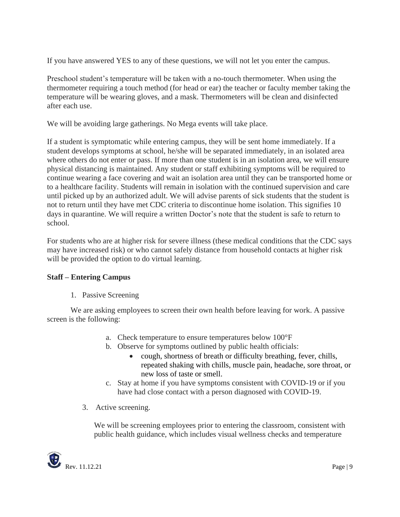If you have answered YES to any of these questions, we will not let you enter the campus.

Preschool student's temperature will be taken with a no-touch thermometer. When using the thermometer requiring a touch method (for head or ear) the teacher or faculty member taking the temperature will be wearing gloves, and a mask. Thermometers will be clean and disinfected after each use.

We will be avoiding large gatherings. No Mega events will take place.

If a student is symptomatic while entering campus, they will be sent home immediately. If a student develops symptoms at school, he/she will be separated immediately, in an isolated area where others do not enter or pass. If more than one student is in an isolation area, we will ensure physical distancing is maintained. Any student or staff exhibiting symptoms will be required to continue wearing a face covering and wait an isolation area until they can be transported home or to a healthcare facility. Students will remain in isolation with the continued supervision and care until picked up by an authorized adult. We will advise parents of sick students that the student is not to return until they have met CDC criteria to discontinue home isolation. This signifies 10 days in quarantine. We will require a written Doctor's note that the student is safe to return to school.

For students who are at higher risk for severe illness (these medical conditions that the CDC says may have increased risk) or who cannot safely distance from household contacts at higher risk will be provided the option to do virtual learning.

#### **Staff – Entering Campus**

1. Passive Screening

We are asking employees to screen their own health before leaving for work. A passive screen is the following:

- a. Check temperature to ensure temperatures below 100°F
- b. Observe for symptoms outlined by public health officials:
	- cough, shortness of breath or difficulty breathing, fever, chills, repeated shaking with chills, muscle pain, headache, sore throat, or new loss of taste or smell.
- c. Stay at home if you have symptoms consistent with COVID-19 or if you have had close contact with a person diagnosed with COVID-19.
- 3. Active screening.

We will be screening employees prior to entering the classroom, consistent with public health guidance, which includes visual wellness checks and temperature

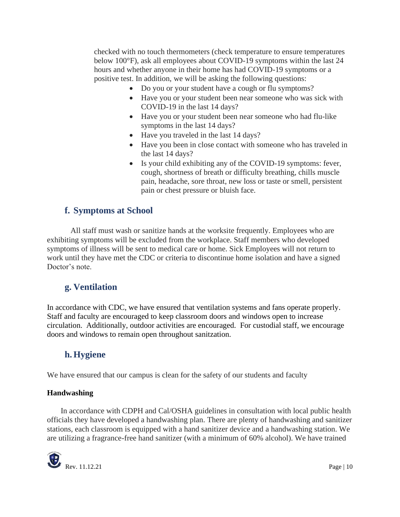checked with no touch thermometers (check temperature to ensure temperatures below 100°F), ask all employees about COVID-19 symptoms within the last 24 hours and whether anyone in their home has had COVID-19 symptoms or a positive test. In addition, we will be asking the following questions:

- Do you or your student have a cough or flu symptoms?
- Have you or your student been near someone who was sick with COVID-19 in the last 14 days?
- Have you or your student been near someone who had flu-like symptoms in the last 14 days?
- Have you traveled in the last 14 days?
- Have you been in close contact with someone who has traveled in the last 14 days?
- Is your child exhibiting any of the COVID-19 symptoms: fever, cough, shortness of breath or difficulty breathing, chills muscle pain, headache, sore throat, new loss or taste or smell, persistent pain or chest pressure or bluish face.

## **f. Symptoms at School**

All staff must wash or sanitize hands at the worksite frequently. Employees who are exhibiting symptoms will be excluded from the workplace. Staff members who developed symptoms of illness will be sent to medical care or home. Sick Employees will not return to work until they have met the CDC or criteria to discontinue home isolation and have a signed Doctor's note.

# **g. Ventilation**

In accordance with CDC, we have ensured that ventilation systems and fans operate properly. Staff and faculty are encouraged to keep classroom doors and windows open to increase circulation. Additionally, outdoor activities are encouraged. For custodial staff, we encourage doors and windows to remain open throughout sanitzation.

# **h. Hygiene**

We have ensured that our campus is clean for the safety of our students and faculty

#### **Handwashing**

In accordance with CDPH and Cal/OSHA guidelines in consultation with local public health officials they have developed a handwashing plan. There are plenty of handwashing and sanitizer stations, each classroom is equipped with a hand sanitizer device and a handwashing station. We are utilizing a fragrance-free hand sanitizer (with a minimum of 60% alcohol). We have trained

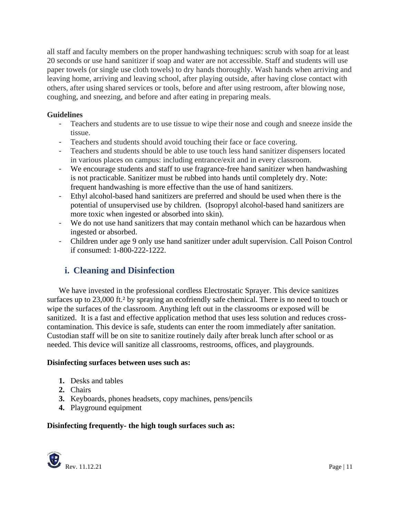all staff and faculty members on the proper handwashing techniques: scrub with soap for at least 20 seconds or use hand sanitizer if soap and water are not accessible. Staff and students will use paper towels (or single use cloth towels) to dry hands thoroughly. Wash hands when arriving and leaving home, arriving and leaving school, after playing outside, after having close contact with others, after using shared services or tools, before and after using restroom, after blowing nose, coughing, and sneezing, and before and after eating in preparing meals.

### **Guidelines**

- Teachers and students are to use tissue to wipe their nose and cough and sneeze inside the tissue.
- Teachers and students should avoid touching their face or face covering.
- Teachers and students should be able to use touch less hand sanitizer dispensers located in various places on campus: including entrance/exit and in every classroom.
- We encourage students and staff to use fragrance-free hand sanitizer when handwashing is not practicable. Sanitizer must be rubbed into hands until completely dry. Note: frequent handwashing is more effective than the use of hand sanitizers.
- Ethyl alcohol-based hand sanitizers are preferred and should be used when there is the potential of unsupervised use by children. (Isopropyl alcohol-based hand sanitizers are more toxic when ingested or absorbed into skin).
- We do not use hand sanitizers that may contain methanol which can be hazardous when ingested or absorbed.
- Children under age 9 only use hand sanitizer under adult supervision. Call Poison Control if consumed: 1-800-222-1222.

# **i. Cleaning and Disinfection**

We have invested in the professional cordless Electrostatic Sprayer. This device sanitizes surfaces up to 23,000 ft.<sup>2</sup> by spraying an ecofriendly safe chemical. There is no need to touch or wipe the surfaces of the classroom. Anything left out in the classrooms or exposed will be sanitized. It is a fast and effective application method that uses less solution and reduces crosscontamination. This device is safe, students can enter the room immediately after sanitation. Custodian staff will be on site to sanitize routinely daily after break lunch after school or as needed. This device will sanitize all classrooms, restrooms, offices, and playgrounds.

#### **Disinfecting surfaces between uses such as:**

- **1.** Desks and tables
- **2.** Chairs
- **3.** Keyboards, phones headsets, copy machines, pens/pencils
- **4.** Playground equipment

## **Disinfecting frequently- the high tough surfaces such as:**

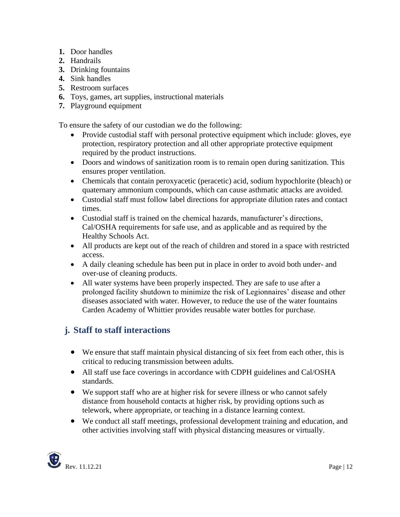- **1.** Door handles
- **2.** Handrails
- **3.** Drinking fountains
- **4.** Sink handles
- **5.** Restroom surfaces
- **6.** Toys, games, art supplies, instructional materials
- **7.** Playground equipment

To ensure the safety of our custodian we do the following:

- Provide custodial staff with personal protective equipment which include: gloves, eye protection, respiratory protection and all other appropriate protective equipment required by the product instructions.
- Doors and windows of sanitization room is to remain open during sanitization. This ensures proper ventilation.
- Chemicals that contain peroxyacetic (peracetic) acid, sodium hypochlorite (bleach) or quaternary ammonium compounds, which can cause asthmatic attacks are avoided.
- Custodial staff must follow label directions for appropriate dilution rates and contact times.
- Custodial staff is trained on the chemical hazards, manufacturer's directions, Cal/OSHA requirements for safe use, and as applicable and as required by the Healthy Schools Act.
- All products are kept out of the reach of children and stored in a space with restricted access.
- A daily cleaning schedule has been put in place in order to avoid both under- and over-use of cleaning products.
- All water systems have been properly inspected. They are safe to use after a prolonged facility shutdown to minimize the risk of Legionnaires' disease and other diseases associated with water. However, to reduce the use of the water fountains Carden Academy of Whittier provides reusable water bottles for purchase.

## **j. Staff to staff interactions**

- We ensure that staff maintain physical distancing of six feet from each other, this is critical to reducing transmission between adults.
- All staff use face coverings in accordance with CDPH guidelines and Cal/OSHA standards.
- We support staff who are at higher risk for severe illness or who cannot safely distance from household contacts at higher risk, by providing options such as telework, where appropriate, or teaching in a distance learning context.
- We conduct all staff meetings, professional development training and education, and other activities involving staff with physical distancing measures or virtually.

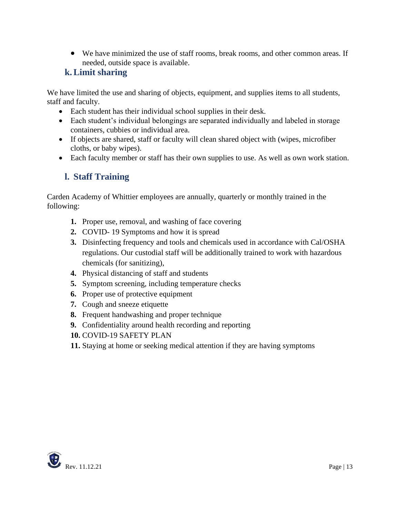• We have minimized the use of staff rooms, break rooms, and other common areas. If needed, outside space is available.

## **k.Limit sharing**

We have limited the use and sharing of objects, equipment, and supplies items to all students, staff and faculty.

- Each student has their individual school supplies in their desk.
- Each student's individual belongings are separated individually and labeled in storage containers, cubbies or individual area.
- If objects are shared, staff or faculty will clean shared object with (wipes, microfiber cloths, or baby wipes).
- Each faculty member or staff has their own supplies to use. As well as own work station.

# **l. Staff Training**

Carden Academy of Whittier employees are annually, quarterly or monthly trained in the following:

- **1.** Proper use, removal, and washing of face covering
- **2.** COVID- 19 Symptoms and how it is spread
- **3.** Disinfecting frequency and tools and chemicals used in accordance with Cal/OSHA regulations. Our custodial staff will be additionally trained to work with hazardous chemicals (for sanitizing),
- **4.** Physical distancing of staff and students
- **5.** Symptom screening, including temperature checks
- **6.** Proper use of protective equipment
- **7.** Cough and sneeze etiquette
- **8.** Frequent handwashing and proper technique
- **9.** Confidentiality around health recording and reporting
- **10.** COVID-19 SAFETY PLAN
- **11.** Staying at home or seeking medical attention if they are having symptoms

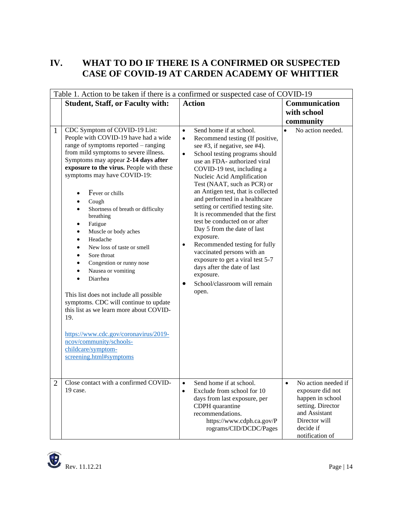# **IV. WHAT TO DO IF THERE IS A CONFIRMED OR SUSPECTED CASE OF COVID-19 AT CARDEN ACADEMY OF WHITTIER**

| Table 1. Action to be taken if there is a confirmed or suspected case of COVID-19 |                                                                                                                                                                                                                                                                                                                                                                                                                                                                                                                                                                                                                                                                                                                                                                                                                                                                                                  |                                                                                                                                                                                                                                                                                                                                                                                                                                                                                                                                                                                                                                                                                                                                                 |                                                                                                                                                    |  |
|-----------------------------------------------------------------------------------|--------------------------------------------------------------------------------------------------------------------------------------------------------------------------------------------------------------------------------------------------------------------------------------------------------------------------------------------------------------------------------------------------------------------------------------------------------------------------------------------------------------------------------------------------------------------------------------------------------------------------------------------------------------------------------------------------------------------------------------------------------------------------------------------------------------------------------------------------------------------------------------------------|-------------------------------------------------------------------------------------------------------------------------------------------------------------------------------------------------------------------------------------------------------------------------------------------------------------------------------------------------------------------------------------------------------------------------------------------------------------------------------------------------------------------------------------------------------------------------------------------------------------------------------------------------------------------------------------------------------------------------------------------------|----------------------------------------------------------------------------------------------------------------------------------------------------|--|
|                                                                                   | <b>Student, Staff, or Faculty with:</b>                                                                                                                                                                                                                                                                                                                                                                                                                                                                                                                                                                                                                                                                                                                                                                                                                                                          | <b>Action</b>                                                                                                                                                                                                                                                                                                                                                                                                                                                                                                                                                                                                                                                                                                                                   | Communication<br>with school                                                                                                                       |  |
|                                                                                   |                                                                                                                                                                                                                                                                                                                                                                                                                                                                                                                                                                                                                                                                                                                                                                                                                                                                                                  |                                                                                                                                                                                                                                                                                                                                                                                                                                                                                                                                                                                                                                                                                                                                                 | community                                                                                                                                          |  |
| $\mathbf{1}$                                                                      | CDC Symptom of COVID-19 List:<br>People with COVID-19 have had a wide<br>range of symptoms reported – ranging<br>from mild symptoms to severe illness.<br>Symptoms may appear 2-14 days after<br>exposure to the virus. People with these<br>symptoms may have COVID-19:<br>Fever or chills<br>$\bullet$<br>Cough<br>$\bullet$<br>Shortness of breath or difficulty<br>$\bullet$<br>breathing<br>Fatigue<br>$\bullet$<br>Muscle or body aches<br>$\bullet$<br>Headache<br>$\bullet$<br>New loss of taste or smell<br>$\bullet$<br>Sore throat<br>$\bullet$<br>Congestion or runny nose<br>Nausea or vomiting<br>$\bullet$<br>Diarrhea<br>This list does not include all possible<br>symptoms. CDC will continue to update<br>this list as we learn more about COVID-<br>19.<br>https://www.cdc.gov/coronavirus/2019-<br>ncov/community/schools-<br>childcare/symptom-<br>screening.html#symptoms | Send home if at school.<br>$\bullet$<br>Recommend testing (If positive,<br>$\bullet$<br>see #3, if negative, see #4).<br>School testing programs should<br>$\bullet$<br>use an FDA- authorized viral<br>COVID-19 test, including a<br>Nucleic Acid Amplification<br>Test (NAAT, such as PCR) or<br>an Antigen test, that is collected<br>and performed in a healthcare<br>setting or certified testing site.<br>It is recommended that the first<br>test be conducted on or after<br>Day 5 from the date of last<br>exposure.<br>Recommended testing for fully<br>$\bullet$<br>vaccinated persons with an<br>exposure to get a viral test 5-7<br>days after the date of last<br>exposure.<br>School/classroom will remain<br>$\bullet$<br>open. | No action needed.<br>$\bullet$                                                                                                                     |  |
|                                                                                   | Close contact with a confirmed COVID-<br>19 case.                                                                                                                                                                                                                                                                                                                                                                                                                                                                                                                                                                                                                                                                                                                                                                                                                                                | Send home if at school.<br>Exclude from school for 10<br>$\bullet$<br>days from last exposure, per<br>CDPH quarantine<br>recommendations.<br>https://www.cdph.ca.gov/P<br>rograms/CID/DCDC/Pages                                                                                                                                                                                                                                                                                                                                                                                                                                                                                                                                                | No action needed if<br>exposure did not<br>happen in school<br>setting. Director<br>and Assistant<br>Director will<br>decide if<br>notification of |  |

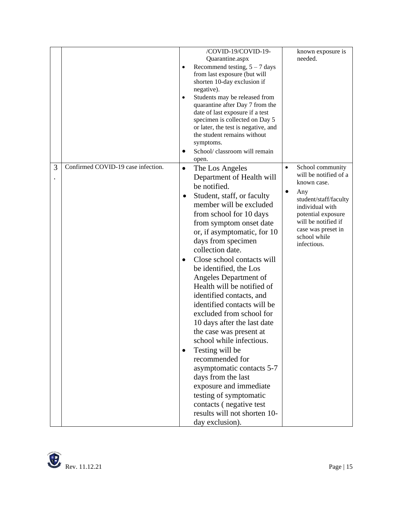|   |                                    |           | /COVID-19/COVID-19-                                                |           | known exposure is     |
|---|------------------------------------|-----------|--------------------------------------------------------------------|-----------|-----------------------|
|   |                                    |           | Quarantine.aspx                                                    |           | needed.               |
|   |                                    | $\bullet$ | Recommend testing, $5 - 7$ days                                    |           |                       |
|   |                                    |           | from last exposure (but will                                       |           |                       |
|   |                                    |           | shorten 10-day exclusion if                                        |           |                       |
|   |                                    |           | negative).                                                         |           |                       |
|   |                                    | $\bullet$ | Students may be released from                                      |           |                       |
|   |                                    |           | quarantine after Day 7 from the                                    |           |                       |
|   |                                    |           | date of last exposure if a test                                    |           |                       |
|   |                                    |           | specimen is collected on Day 5                                     |           |                       |
|   |                                    |           | or later, the test is negative, and<br>the student remains without |           |                       |
|   |                                    |           | symptoms.                                                          |           |                       |
|   |                                    |           | School/ classroom will remain                                      |           |                       |
|   |                                    |           |                                                                    |           |                       |
| 3 | Confirmed COVID-19 case infection. | $\bullet$ | open.                                                              | $\bullet$ | School community      |
|   |                                    |           | The Los Angeles                                                    |           | will be notified of a |
|   |                                    |           | Department of Health will                                          |           | known case.           |
|   |                                    |           | be notified.                                                       | $\bullet$ | Any                   |
|   |                                    |           | Student, staff, or faculty                                         |           | student/staff/faculty |
|   |                                    |           | member will be excluded                                            |           | individual with       |
|   |                                    |           | from school for 10 days                                            |           | potential exposure    |
|   |                                    |           | from symptom onset date                                            |           | will be notified if   |
|   |                                    |           | or, if asymptomatic, for 10                                        |           | case was preset in    |
|   |                                    |           | days from specimen                                                 |           | school while          |
|   |                                    |           | collection date.                                                   |           | infectious.           |
|   |                                    |           |                                                                    |           |                       |
|   |                                    | $\bullet$ | Close school contacts will                                         |           |                       |
|   |                                    |           | be identified, the Los                                             |           |                       |
|   |                                    |           | Angeles Department of                                              |           |                       |
|   |                                    |           | Health will be notified of                                         |           |                       |
|   |                                    |           | identified contacts, and                                           |           |                       |
|   |                                    |           | identified contacts will be                                        |           |                       |
|   |                                    |           | excluded from school for                                           |           |                       |
|   |                                    |           | 10 days after the last date                                        |           |                       |
|   |                                    |           | the case was present at                                            |           |                       |
|   |                                    |           | school while infectious.                                           |           |                       |
|   |                                    | $\bullet$ | Testing will be                                                    |           |                       |
|   |                                    |           | recommended for                                                    |           |                       |
|   |                                    |           |                                                                    |           |                       |
|   |                                    |           | asymptomatic contacts 5-7                                          |           |                       |
|   |                                    |           | days from the last                                                 |           |                       |
|   |                                    |           | exposure and immediate                                             |           |                       |
|   |                                    |           | testing of symptomatic                                             |           |                       |
|   |                                    |           | contacts (negative test                                            |           |                       |
|   |                                    |           | results will not shorten 10-                                       |           |                       |
|   |                                    |           | day exclusion).                                                    |           |                       |

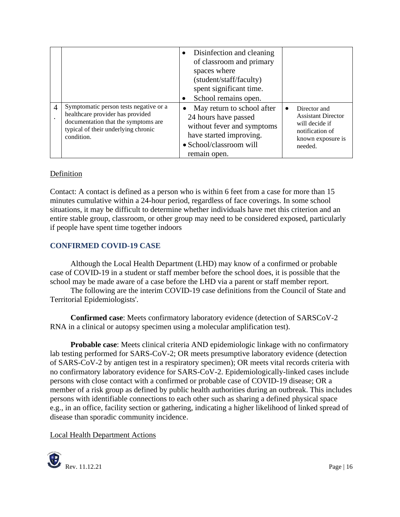|                |                                                                                                                                                                        | Disinfection and cleaning<br>of classroom and primary<br>spaces where<br>(student/staff/faculty)<br>spent significant time.<br>School remains open.    |           |                                                                                                                |
|----------------|------------------------------------------------------------------------------------------------------------------------------------------------------------------------|--------------------------------------------------------------------------------------------------------------------------------------------------------|-----------|----------------------------------------------------------------------------------------------------------------|
| $\overline{4}$ | Symptomatic person tests negative or a<br>healthcare provider has provided<br>documentation that the symptoms are<br>typical of their underlying chronic<br>condition. | May return to school after<br>24 hours have passed<br>without fever and symptoms<br>have started improving.<br>• School/classroom will<br>remain open. | $\bullet$ | Director and<br><b>Assistant Director</b><br>will decide if<br>notification of<br>known exposure is<br>needed. |

#### Definition

Contact: A contact is defined as a person who is within 6 feet from a case for more than 15 minutes cumulative within a 24-hour period, regardless of face coverings. In some school situations, it may be difficult to determine whether individuals have met this criterion and an entire stable group, classroom, or other group may need to be considered exposed, particularly if people have spent time together indoors

#### **CONFIRMED COVID-19 CASE**

Although the Local Health Department (LHD) may know of a confirmed or probable case of COVID-19 in a student or staff member before the school does, it is possible that the school may be made aware of a case before the LHD via a parent or staff member report.

The following are the interim COVID-19 case definitions from the Council of State and Territorial Epidemiologists'.

**Confirmed case**: Meets confirmatory laboratory evidence (detection of SARSCoV-2 RNA in a clinical or autopsy specimen using a molecular amplification test).

**Probable case**: Meets clinical criteria AND epidemiologic linkage with no confirmatory lab testing performed for SARS-CoV-2; OR meets presumptive laboratory evidence (detection of SARS-CoV-2 by antigen test in a respiratory specimen); OR meets vital records criteria with no confirmatory laboratory evidence for SARS-CoV-2. Epidemiologically-linked cases include persons with close contact with a confirmed or probable case of COVID-19 disease; OR a member of a risk group as defined by public health authorities during an outbreak. This includes persons with identifiable connections to each other such as sharing a defined physical space e.g., in an office, facility section or gathering, indicating a higher likelihood of linked spread of disease than sporadic community incidence.

Local Health Department Actions

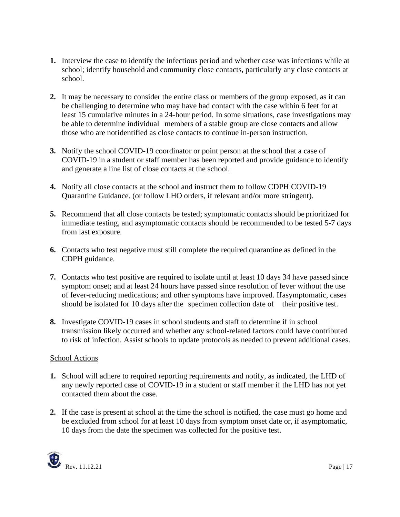- **1.** Interview the case to identify the infectious period and whether case was infections while at school; identify household and community close contacts, particularly any close contacts at school.
- **2.** It may be necessary to consider the entire class or members of the group exposed, as it can be challenging to determine who may have had contact with the case within 6 feet for at least 15 cumulative minutes in a 24-hour period. In some situations, case investigations may be able to determine individual members of a stable group are close contacts and allow those who are notidentified as close contacts to continue in-person instruction.
- **3.** Notify the school COVID-19 coordinator or point person at the school that a case of COVID-19 in a student or staff member has been reported and provide guidance to identify and generate a line list of close contacts at the school.
- **4.** Notify all close contacts at the school and instruct them to follow CDPH COVID-19 Quarantine Guidance. (or follow LHO orders, if relevant and/or more stringent).
- **5.** Recommend that all close contacts be tested; symptomatic contacts should be prioritized for immediate testing, and asymptomatic contacts should be recommended to be tested 5-7 days from last exposure.
- **6.** Contacts who test negative must still complete the required quarantine as defined in the CDPH guidance.
- **7.** Contacts who test positive are required to isolate until at least 10 days 34 have passed since symptom onset; and at least 24 hours have passed since resolution of fever without the use of fever-reducing medications; and other symptoms have improved. Ifasymptomatic, cases should be isolated for 10 days after the specimen collection date of their positive test.
- **8.** Investigate COVID-19 cases in school students and staff to determine if in school transmission likely occurred and whether any school-related factors could have contributed to risk of infection. Assist schools to update protocols as needed to prevent additional cases.

#### School Actions

- **1.** School will adhere to required reporting requirements and notify, as indicated, the LHD of any newly reported case of COVID-19 in a student or staff member if the LHD has not yet contacted them about the case.
- **2.** If the case is present at school at the time the school is notified, the case must go home and be excluded from school for at least 10 days from symptom onset date or, if asymptomatic, 10 days from the date the specimen was collected for the positive test.

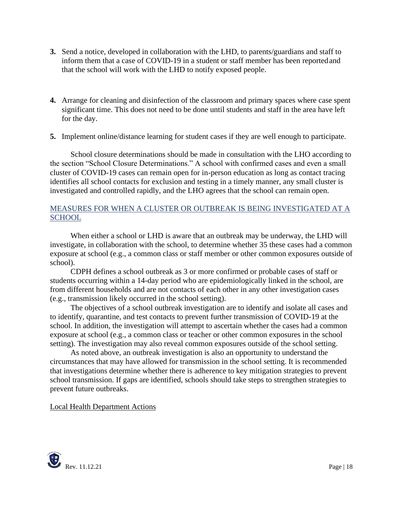- **3.** Send a notice, developed in collaboration with the LHD, to parents/guardians and staff to inform them that a case of COVID-19 in a student or staff member has been reportedand that the school will work with the LHD to notify exposed people.
- **4.** Arrange for cleaning and disinfection of the classroom and primary spaces where case spent significant time. This does not need to be done until students and staff in the area have left for the day.
- **5.** Implement online/distance learning for student cases if they are well enough to participate.

School closure determinations should be made in consultation with the LHO according to the section "School Closure Determinations." A school with confirmed cases and even a small cluster of COVID-19 cases can remain open for in-person education as long as contact tracing identifies all school contacts for exclusion and testing in a timely manner, any small cluster is investigated and controlled rapidly, and the LHO agrees that the school can remain open.

## MEASURES FOR WHEN A CLUSTER OR OUTBREAK IS BEING INVESTIGATED AT A **SCHOOL**

When either a school or LHD is aware that an outbreak may be underway, the LHD will investigate, in collaboration with the school, to determine whether 35 these cases had a common exposure at school (e.g., a common class or staff member or other common exposures outside of school).

CDPH defines a school outbreak as 3 or more confirmed or probable cases of staff or students occurring within a 14-day period who are epidemiologically linked in the school, are from different households and are not contacts of each other in any other investigation cases (e.g., transmission likely occurred in the school setting).

The objectives of a school outbreak investigation are to identify and isolate all cases and to identify, quarantine, and test contacts to prevent further transmission of COVID-19 at the school. In addition, the investigation will attempt to ascertain whether the cases had a common exposure at school (e.g., a common class or teacher or other common exposures in the school setting). The investigation may also reveal common exposures outside of the school setting.

As noted above, an outbreak investigation is also an opportunity to understand the circumstances that may have allowed for transmission in the school setting. It is recommended that investigations determine whether there is adherence to key mitigation strategies to prevent school transmission. If gaps are identified, schools should take steps to strengthen strategies to prevent future outbreaks.

#### Local Health Department Actions

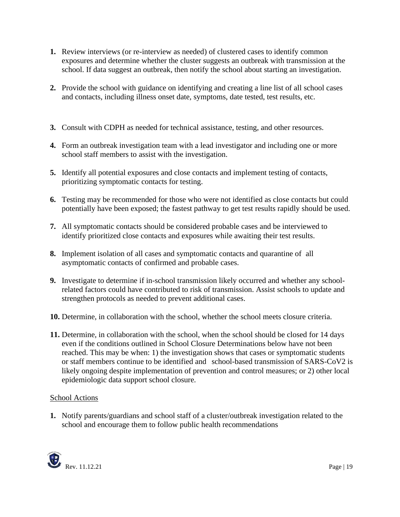- **1.** Review interviews (or re-interview as needed) of clustered cases to identify common exposures and determine whether the cluster suggests an outbreak with transmission at the school. If data suggest an outbreak, then notify the school about starting an investigation.
- **2.** Provide the school with guidance on identifying and creating a line list of all school cases and contacts, including illness onset date, symptoms, date tested, test results, etc.
- **3.** Consult with CDPH as needed for technical assistance, testing, and other resources.
- **4.** Form an outbreak investigation team with a lead investigator and including one or more school staff members to assist with the investigation.
- **5.** Identify all potential exposures and close contacts and implement testing of contacts, prioritizing symptomatic contacts for testing.
- **6.** Testing may be recommended for those who were not identified as close contacts but could potentially have been exposed; the fastest pathway to get test results rapidly should be used.
- **7.** All symptomatic contacts should be considered probable cases and be interviewed to identify prioritized close contacts and exposures while awaiting their test results.
- **8.** Implement isolation of all cases and symptomatic contacts and quarantine of all asymptomatic contacts of confirmed and probable cases.
- **9.** Investigate to determine if in-school transmission likely occurred and whether any schoolrelated factors could have contributed to risk of transmission. Assist schools to update and strengthen protocols as needed to prevent additional cases.
- **10.** Determine, in collaboration with the school, whether the school meets closure criteria.
- **11.** Determine, in collaboration with the school, when the school should be closed for 14 days even if the conditions outlined in School Closure Determinations below have not been reached. This may be when: 1) the investigation shows that cases or symptomatic students or staff members continue to be identified and school-based transmission of SARS-CoV2 is likely ongoing despite implementation of prevention and control measures; or 2) other local epidemiologic data support school closure.

#### School Actions

**1.** Notify parents/guardians and school staff of a cluster/outbreak investigation related to the school and encourage them to follow public health recommendations

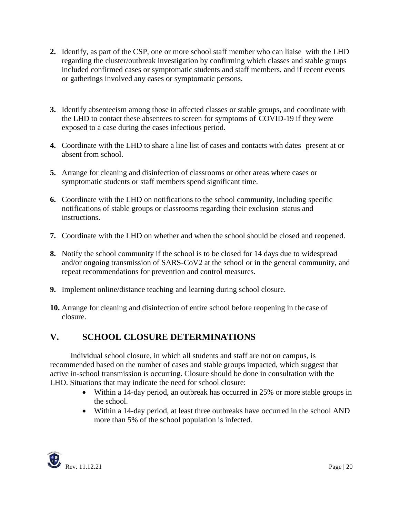- **2.** Identify, as part of the CSP, one or more school staff member who can liaise with the LHD regarding the cluster/outbreak investigation by confirming which classes and stable groups included confirmed cases or symptomatic students and staff members, and if recent events or gatherings involved any cases or symptomatic persons.
- **3.** Identify absenteeism among those in affected classes or stable groups, and coordinate with the LHD to contact these absentees to screen for symptoms of COVID-19 if they were exposed to a case during the cases infectious period.
- **4.** Coordinate with the LHD to share a line list of cases and contacts with dates present at or absent from school.
- **5.** Arrange for cleaning and disinfection of classrooms or other areas where cases or symptomatic students or staff members spend significant time.
- **6.** Coordinate with the LHD on notifications to the school community, including specific notifications of stable groups or classrooms regarding their exclusion status and instructions.
- **7.** Coordinate with the LHD on whether and when the school should be closed and reopened.
- **8.** Notify the school community if the school is to be closed for 14 days due to widespread and/or ongoing transmission of SARS-CoV2 at the school or in the general community, and repeat recommendations for prevention and control measures.
- **9.** Implement online/distance teaching and learning during school closure.
- **10.** Arrange for cleaning and disinfection of entire school before reopening in the case of closure.

# **V. SCHOOL CLOSURE DETERMINATIONS**

Individual school closure, in which all students and staff are not on campus, is recommended based on the number of cases and stable groups impacted, which suggest that active in-school transmission is occurring. Closure should be done in consultation with the LHO. Situations that may indicate the need for school closure:

- Within a 14-day period, an outbreak has occurred in 25% or more stable groups in the school.
- Within a 14-day period, at least three outbreaks have occurred in the school AND more than 5% of the school population is infected.

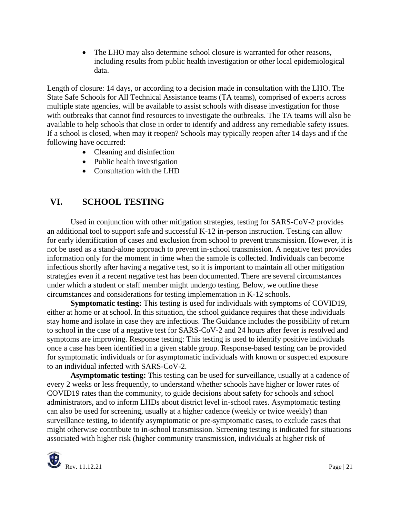• The LHO may also determine school closure is warranted for other reasons, including results from public health investigation or other local epidemiological data.

Length of closure: 14 days, or according to a decision made in consultation with the LHO. The State Safe Schools for All Technical Assistance teams (TA teams), comprised of experts across multiple state agencies, will be available to assist schools with disease investigation for those with outbreaks that cannot find resources to investigate the outbreaks. The TA teams will also be available to help schools that close in order to identify and address any remediable safety issues. If a school is closed, when may it reopen? Schools may typically reopen after 14 days and if the following have occurred:

- Cleaning and disinfection
- Public health investigation
- Consultation with the LHD

# **VI. SCHOOL TESTING**

Used in conjunction with other mitigation strategies, testing for SARS-CoV-2 provides an additional tool to support safe and successful K-12 in-person instruction. Testing can allow for early identification of cases and exclusion from school to prevent transmission. However, it is not be used as a stand-alone approach to prevent in-school transmission. A negative test provides information only for the moment in time when the sample is collected. Individuals can become infectious shortly after having a negative test, so it is important to maintain all other mitigation strategies even if a recent negative test has been documented. There are several circumstances under which a student or staff member might undergo testing. Below, we outline these circumstances and considerations for testing implementation in K-12 schools.

**Symptomatic testing:** This testing is used for individuals with symptoms of COVID19, either at home or at school. In this situation, the school guidance requires that these individuals stay home and isolate in case they are infectious. The Guidance includes the possibility of return to school in the case of a negative test for SARS-CoV-2 and 24 hours after fever is resolved and symptoms are improving. Response testing: This testing is used to identify positive individuals once a case has been identified in a given stable group. Response-based testing can be provided for symptomatic individuals or for asymptomatic individuals with known or suspected exposure to an individual infected with SARS-CoV-2.

**Asymptomatic testing:** This testing can be used for surveillance, usually at a cadence of every 2 weeks or less frequently, to understand whether schools have higher or lower rates of COVID19 rates than the community, to guide decisions about safety for schools and school administrators, and to inform LHDs about district level in-school rates. Asymptomatic testing can also be used for screening, usually at a higher cadence (weekly or twice weekly) than surveillance testing, to identify asymptomatic or pre-symptomatic cases, to exclude cases that might otherwise contribute to in-school transmission. Screening testing is indicated for situations associated with higher risk (higher community transmission, individuals at higher risk of

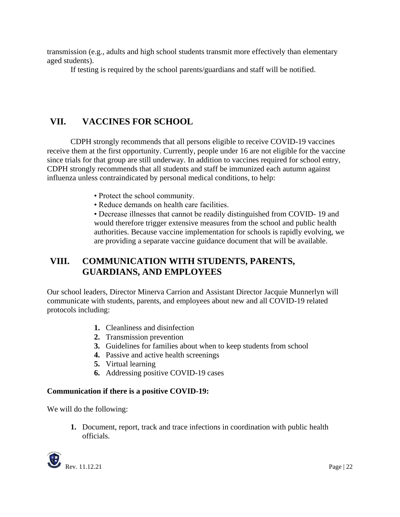transmission (e.g., adults and high school students transmit more effectively than elementary aged students).

If testing is required by the school parents/guardians and staff will be notified.

## **VII. VACCINES FOR SCHOOL**

CDPH strongly recommends that all persons eligible to receive COVID-19 vaccines receive them at the first opportunity. Currently, people under 16 are not eligible for the vaccine since trials for that group are still underway. In addition to vaccines required for school entry, CDPH strongly recommends that all students and staff be immunized each autumn against influenza unless contraindicated by personal medical conditions, to help:

- Protect the school community.
- Reduce demands on health care facilities.

• Decrease illnesses that cannot be readily distinguished from COVID- 19 and would therefore trigger extensive measures from the school and public health authorities. Because vaccine implementation for schools is rapidly evolving, we are providing a separate vaccine guidance document that will be available.

# **VIII. COMMUNICATION WITH STUDENTS, PARENTS, GUARDIANS, AND EMPLOYEES**

Our school leaders, Director Minerva Carrion and Assistant Director Jacquie Munnerlyn will communicate with students, parents, and employees about new and all COVID-19 related protocols including:

- **1.** Cleanliness and disinfection
- **2.** Transmission prevention
- **3.** Guidelines for families about when to keep students from school
- **4.** Passive and active health screenings
- **5.** Virtual learning
- **6.** Addressing positive COVID-19 cases

#### **Communication if there is a positive COVID-19:**

We will do the following:

**1.** Document, report, track and trace infections in coordination with public health officials.